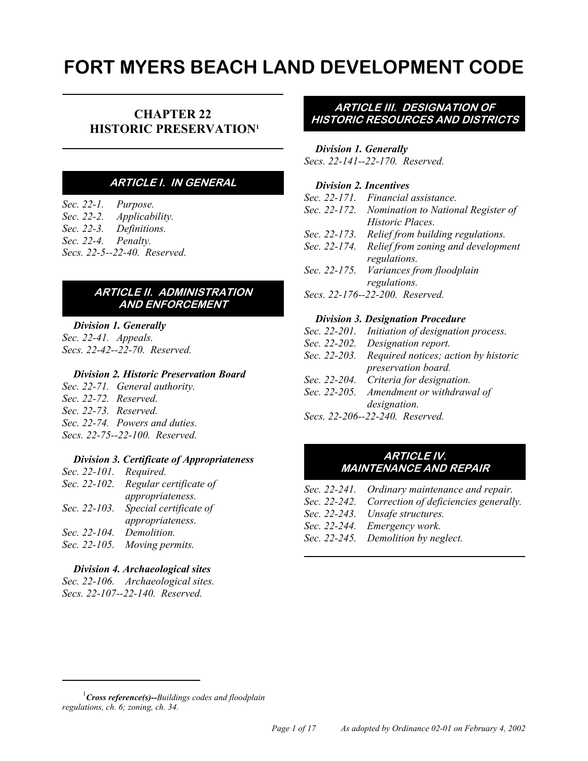# **FORT MYERS BEACH LAND DEVELOPMENT CODE**

## **CHAPTER 22 HISTORIC PRESERVATION1**

#### **ARTICLE I. IN GENERAL**

*Sec. 22-1. Purpose. Sec. 22-2. Applicability. Sec. 22-3. Definitions. Sec. 22-4. Penalty. Secs. 22-5--22-40. Reserved.*

#### **ARTICLE II. ADMINISTRATION AND ENFORCEMENT**

## *Division 1. Generally*

*Sec. 22-41. Appeals. Secs. 22-42--22-70. Reserved.*

#### *Division 2. Historic Preservation Board*

*Sec. 22-71. General authority. Sec. 22-72. Reserved. Sec. 22-73. Reserved. Sec. 22-74. Powers and duties. Secs. 22-75--22-100. Reserved.*

#### *Division 3. Certificate of Appropriateness*

| Sec. 22-101. | Required.              |
|--------------|------------------------|
| Sec. 22-102. | Regular certificate of |
|              | appropriateness.       |
| Sec. 22-103. | Special certificate of |
|              | appropriateness.       |
| Sec. 22-104. | Demolition.            |
| Sec. 22-105. | Moving permits.        |

#### *Division 4. Archaeological sites*

*Sec. 22-106. Archaeological sites. Secs. 22-107--22-140. Reserved.*

#### **ARTICLE III. DESIGNATION OF HISTORIC RESOURCES AND DISTRICTS**

#### *Division 1. Generally*

*Secs. 22-141--22-170. Reserved.*

## *Division 2. Incentives*

|                                 | Sec. 22-171. Financial assistance.              |  |
|---------------------------------|-------------------------------------------------|--|
|                                 | Sec. 22-172. Nomination to National Register of |  |
|                                 | Historic Places.                                |  |
| Sec. 22-173.                    | Relief from building regulations.               |  |
| Sec. 22-174.                    | Relief from zoning and development              |  |
|                                 | regulations.                                    |  |
|                                 | Sec. 22-175. Variances from floodplain          |  |
|                                 | regulations.                                    |  |
| Secs. 22-176--22-200. Reserved. |                                                 |  |

#### *Division 3. Designation Procedure*

- *Sec. 22-201. Initiation of designation process.*
- *Sec. 22-202. Designation report.*
- *Sec. 22-203. Required notices; action by historic preservation board.*
- *Sec. 22-204. Criteria for designation.*
- *Sec. 22-205. Amendment or withdrawal of designation.*
- *Secs. 22-206--22-240. Reserved.*

#### **ARTICLE IV. MAINTENANCE AND REPAIR**

- *Sec. 22-241. Ordinary maintenance and repair.*
- *Sec. 22-242. Correction of deficiencies generally.*
- *Sec. 22-243. Unsafe structures.*
- *Sec. 22-244. Emergency work.*
- *Sec. 22-245. Demolition by neglect.*

<sup>1</sup> *Cross reference(s)--Buildings codes and floodplain regulations, ch. 6; zoning, ch. 34.*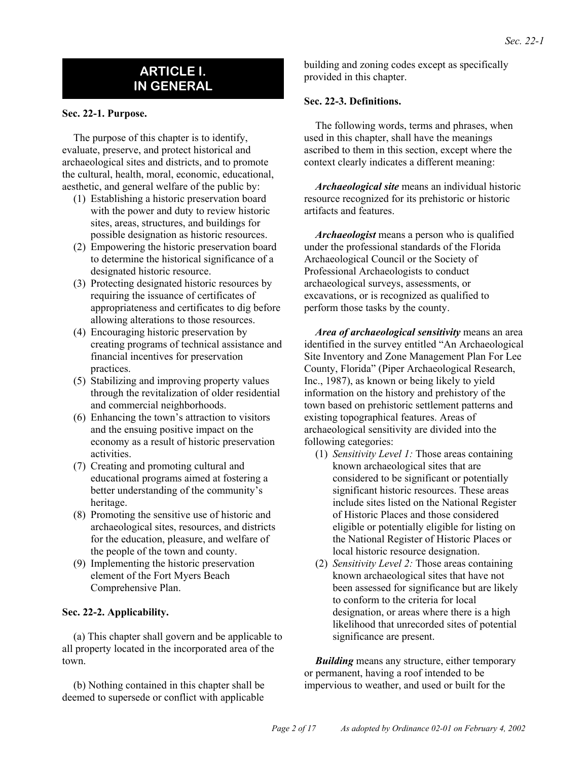## **ARTICLE I. IN GENERAL**

#### **Sec. 22-1. Purpose.**

The purpose of this chapter is to identify, evaluate, preserve, and protect historical and archaeological sites and districts, and to promote the cultural, health, moral, economic, educational, aesthetic, and general welfare of the public by:

- (1) Establishing a historic preservation board with the power and duty to review historic sites, areas, structures, and buildings for possible designation as historic resources.
- (2) Empowering the historic preservation board to determine the historical significance of a designated historic resource.
- (3) Protecting designated historic resources by requiring the issuance of certificates of appropriateness and certificates to dig before allowing alterations to those resources.
- (4) Encouraging historic preservation by creating programs of technical assistance and financial incentives for preservation practices.
- (5) Stabilizing and improving property values through the revitalization of older residential and commercial neighborhoods.
- (6) Enhancing the town's attraction to visitors and the ensuing positive impact on the economy as a result of historic preservation activities.
- (7) Creating and promoting cultural and educational programs aimed at fostering a better understanding of the community's heritage.
- (8) Promoting the sensitive use of historic and archaeological sites, resources, and districts for the education, pleasure, and welfare of the people of the town and county.
- (9) Implementing the historic preservation element of the Fort Myers Beach Comprehensive Plan.

#### **Sec. 22-2. Applicability.**

(a) This chapter shall govern and be applicable to all property located in the incorporated area of the town.

(b) Nothing contained in this chapter shall be deemed to supersede or conflict with applicable

building and zoning codes except as specifically provided in this chapter.

#### **Sec. 22-3. Definitions.**

The following words, terms and phrases, when used in this chapter, shall have the meanings ascribed to them in this section, except where the context clearly indicates a different meaning:

*Archaeological site* means an individual historic resource recognized for its prehistoric or historic artifacts and features.

*Archaeologist* means a person who is qualified under the professional standards of the Florida Archaeological Council or the Society of Professional Archaeologists to conduct archaeological surveys, assessments, or excavations, or is recognized as qualified to perform those tasks by the county.

*Area of archaeological sensitivity* means an area identified in the survey entitled "An Archaeological Site Inventory and Zone Management Plan For Lee County, Florida" (Piper Archaeological Research, Inc., 1987), as known or being likely to yield information on the history and prehistory of the town based on prehistoric settlement patterns and existing topographical features. Areas of archaeological sensitivity are divided into the following categories:

- (1) *Sensitivity Level 1:* Those areas containing known archaeological sites that are considered to be significant or potentially significant historic resources. These areas include sites listed on the National Register of Historic Places and those considered eligible or potentially eligible for listing on the National Register of Historic Places or local historic resource designation.
- (2) *Sensitivity Level 2:* Those areas containing known archaeological sites that have not been assessed for significance but are likely to conform to the criteria for local designation, or areas where there is a high likelihood that unrecorded sites of potential significance are present.

*Building* means any structure, either temporary or permanent, having a roof intended to be impervious to weather, and used or built for the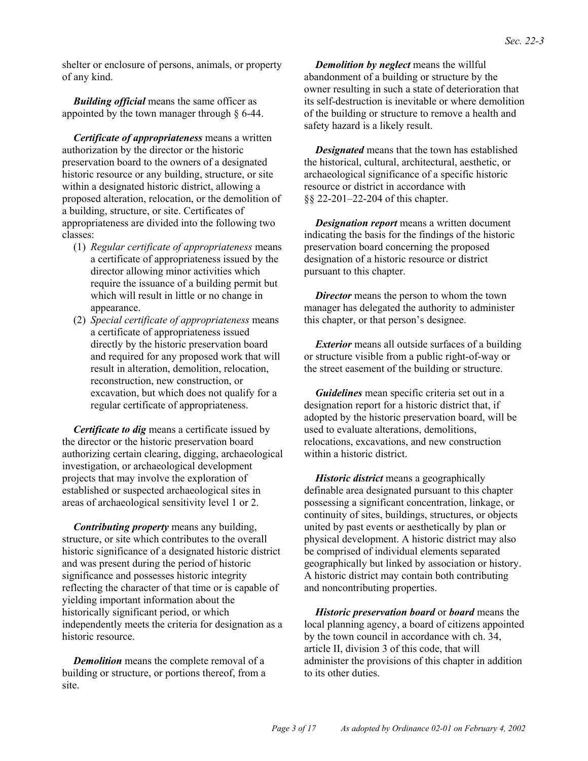shelter or enclosure of persons, animals, or property of any kind.

*Building official* means the same officer as appointed by the town manager through § 6-44.

*Certificate of appropriateness* means a written authorization by the director or the historic preservation board to the owners of a designated historic resource or any building, structure, or site within a designated historic district, allowing a proposed alteration, relocation, or the demolition of a building, structure, or site. Certificates of appropriateness are divided into the following two classes:

- (1) *Regular certificate of appropriateness* means a certificate of appropriateness issued by the director allowing minor activities which require the issuance of a building permit but which will result in little or no change in appearance.
- (2) *Special certificate of appropriateness* means a certificate of appropriateness issued directly by the historic preservation board and required for any proposed work that will result in alteration, demolition, relocation, reconstruction, new construction, or excavation, but which does not qualify for a regular certificate of appropriateness.

*Certificate to dig* means a certificate issued by the director or the historic preservation board authorizing certain clearing, digging, archaeological investigation, or archaeological development projects that may involve the exploration of established or suspected archaeological sites in areas of archaeological sensitivity level 1 or 2.

*Contributing property* means any building, structure, or site which contributes to the overall historic significance of a designated historic district and was present during the period of historic significance and possesses historic integrity reflecting the character of that time or is capable of yielding important information about the historically significant period, or which independently meets the criteria for designation as a historic resource.

*Demolition* means the complete removal of a building or structure, or portions thereof, from a site.

*Demolition by neglect* means the willful abandonment of a building or structure by the owner resulting in such a state of deterioration that its self-destruction is inevitable or where demolition of the building or structure to remove a health and safety hazard is a likely result.

*Designated* means that the town has established the historical, cultural, architectural, aesthetic, or archaeological significance of a specific historic resource or district in accordance with §§ 22-201–22-204 of this chapter.

*Designation report* means a written document indicating the basis for the findings of the historic preservation board concerning the proposed designation of a historic resource or district pursuant to this chapter.

*Director* means the person to whom the town manager has delegated the authority to administer this chapter, or that person's designee.

*Exterior* means all outside surfaces of a building or structure visible from a public right-of-way or the street easement of the building or structure.

*Guidelines* mean specific criteria set out in a designation report for a historic district that, if adopted by the historic preservation board, will be used to evaluate alterations, demolitions, relocations, excavations, and new construction within a historic district.

*Historic district* means a geographically definable area designated pursuant to this chapter possessing a significant concentration, linkage, or continuity of sites, buildings, structures, or objects united by past events or aesthetically by plan or physical development. A historic district may also be comprised of individual elements separated geographically but linked by association or history. A historic district may contain both contributing and noncontributing properties.

*Historic preservation board* or *board* means the local planning agency, a board of citizens appointed by the town council in accordance with ch. 34, article II, division 3 of this code, that will administer the provisions of this chapter in addition to its other duties.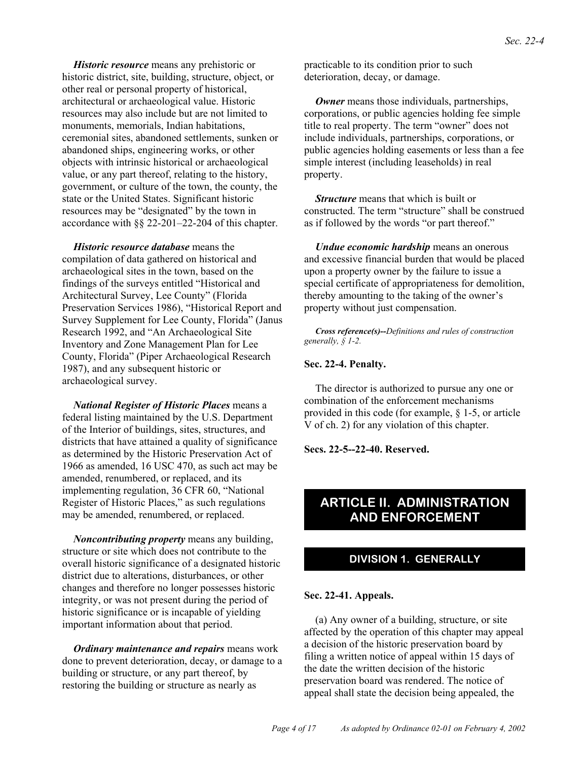*Historic resource* means any prehistoric or historic district, site, building, structure, object, or other real or personal property of historical, architectural or archaeological value. Historic resources may also include but are not limited to monuments, memorials, Indian habitations, ceremonial sites, abandoned settlements, sunken or abandoned ships, engineering works, or other objects with intrinsic historical or archaeological value, or any part thereof, relating to the history, government, or culture of the town, the county, the state or the United States. Significant historic resources may be "designated" by the town in accordance with §§ 22-201–22-204 of this chapter.

*Historic resource database* means the compilation of data gathered on historical and archaeological sites in the town, based on the findings of the surveys entitled "Historical and Architectural Survey, Lee County" (Florida Preservation Services 1986), "Historical Report and Survey Supplement for Lee County, Florida" (Janus Research 1992, and "An Archaeological Site Inventory and Zone Management Plan for Lee County, Florida" (Piper Archaeological Research 1987), and any subsequent historic or archaeological survey.

*National Register of Historic Places* means a federal listing maintained by the U.S. Department of the Interior of buildings, sites, structures, and districts that have attained a quality of significance as determined by the Historic Preservation Act of 1966 as amended, 16 USC 470, as such act may be amended, renumbered, or replaced, and its implementing regulation, 36 CFR 60, "National Register of Historic Places," as such regulations may be amended, renumbered, or replaced.

*Noncontributing property* means any building, structure or site which does not contribute to the overall historic significance of a designated historic district due to alterations, disturbances, or other changes and therefore no longer possesses historic integrity, or was not present during the period of historic significance or is incapable of yielding important information about that period.

*Ordinary maintenance and repairs* means work done to prevent deterioration, decay, or damage to a building or structure, or any part thereof, by restoring the building or structure as nearly as

practicable to its condition prior to such deterioration, decay, or damage.

*Owner* means those individuals, partnerships, corporations, or public agencies holding fee simple title to real property. The term "owner" does not include individuals, partnerships, corporations, or public agencies holding easements or less than a fee simple interest (including leaseholds) in real property.

*Structure* means that which is built or constructed. The term "structure" shall be construed as if followed by the words "or part thereof."

*Undue economic hardship* means an onerous and excessive financial burden that would be placed upon a property owner by the failure to issue a special certificate of appropriateness for demolition, thereby amounting to the taking of the owner's property without just compensation.

*Cross reference(s)--Definitions and rules of construction generally, § 1-2.*

#### **Sec. 22-4. Penalty.**

The director is authorized to pursue any one or combination of the enforcement mechanisms provided in this code (for example, § 1-5, or article V of ch. 2) for any violation of this chapter.

**Secs. 22-5--22-40. Reserved.**

## **ARTICLE II. ADMINISTRATION AND ENFORCEMENT**

#### **DIVISION 1. GENERALLY**

#### **Sec. 22-41. Appeals.**

(a) Any owner of a building, structure, or site affected by the operation of this chapter may appeal a decision of the historic preservation board by filing a written notice of appeal within 15 days of the date the written decision of the historic preservation board was rendered. The notice of appeal shall state the decision being appealed, the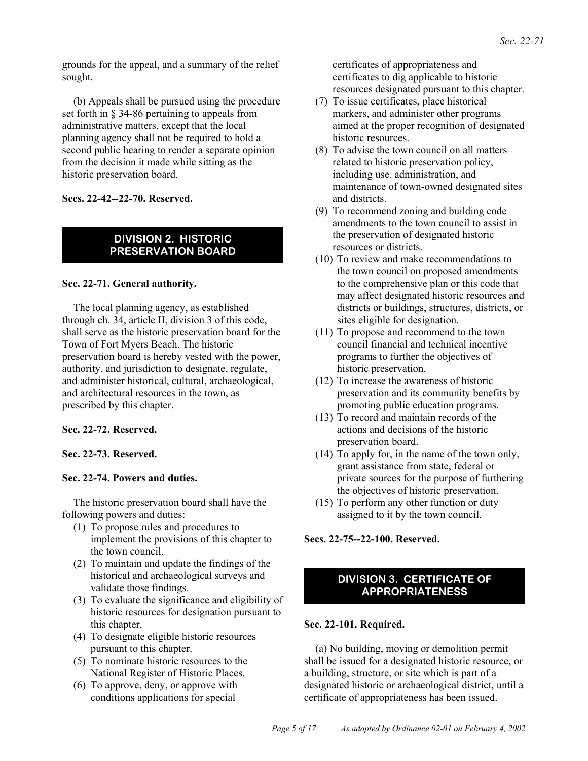grounds for the appeal, and a summary of the relief sought.

(b) Appeals shall be pursued using the procedure set forth in § 34-86 pertaining to appeals from administrative matters, except that the local planning agency shall not be required to hold a second public hearing to render a separate opinion from the decision it made while sitting as the historic preservation board.

**Secs. 22-42--22-70. Reserved.**

#### **DIVISION 2. HISTORIC PRESERVATION BOARD**

#### **Sec. 22-71. General authority.**

The local planning agency, as established through ch. 34, article II, division 3 of this code, shall serve as the historic preservation board for the Town of Fort Myers Beach. The historic preservation board is hereby vested with the power, authority, and jurisdiction to designate, regulate, and administer historical, cultural, archaeological, and architectural resources in the town, as prescribed by this chapter.

#### **Sec. 22-72. Reserved.**

#### **Sec. 22-73. Reserved.**

#### **Sec. 22-74. Powers and duties.**

The historic preservation board shall have the following powers and duties:

- (1) To propose rules and procedures to implement the provisions of this chapter to the town council.
- (2) To maintain and update the findings of the historical and archaeological surveys and validate those findings.
- (3) To evaluate the significance and eligibility of historic resources for designation pursuant to this chapter.
- (4) To designate eligible historic resources pursuant to this chapter.
- (5) To nominate historic resources to the National Register of Historic Places.
- (6) To approve, deny, or approve with conditions applications for special

certificates of appropriateness and certificates to dig applicable to historic resources designated pursuant to this chapter.

- (7) To issue certificates, place historical markers, and administer other programs aimed at the proper recognition of designated historic resources.
- (8) To advise the town council on all matters related to historic preservation policy, including use, administration, and maintenance of town-owned designated sites and districts.
- (9) To recommend zoning and building code amendments to the town council to assist in the preservation of designated historic resources or districts.
- (10) To review and make recommendations to the town council on proposed amendments to the comprehensive plan or this code that may affect designated historic resources and districts or buildings, structures, districts, or sites eligible for designation.
- (11) To propose and recommend to the town council financial and technical incentive programs to further the objectives of historic preservation.
- (12) To increase the awareness of historic preservation and its community benefits by promoting public education programs.
- (13) To record and maintain records of the actions and decisions of the historic preservation board.
- (14) To apply for, in the name of the town only, grant assistance from state, federal or private sources for the purpose of furthering the objectives of historic preservation.
- (15) To perform any other function or duty assigned to it by the town council.

**Secs. 22-75--22-100. Reserved.**

### **DIVISION 3. CERTIFICATE OF APPROPRIATENESS**

#### **Sec. 22-101. Required.**

(a) No building, moving or demolition permit shall be issued for a designated historic resource, or a building, structure, or site which is part of a designated historic or archaeological district, until a certificate of appropriateness has been issued.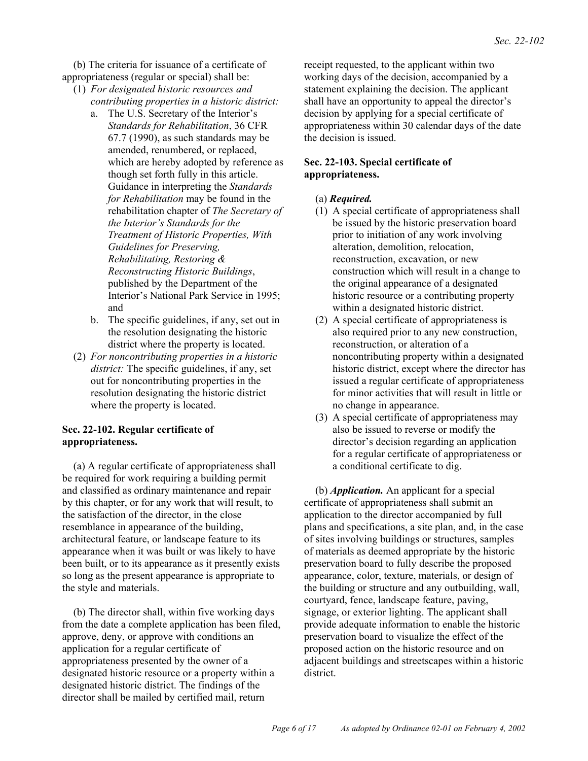(b) The criteria for issuance of a certificate of appropriateness (regular or special) shall be:

- (1) *For designated historic resources and contributing properties in a historic district:*
	- a. The U.S. Secretary of the Interior's *Standards for Rehabilitation*, 36 CFR 67.7 (1990), as such standards may be amended, renumbered, or replaced, which are hereby adopted by reference as though set forth fully in this article. Guidance in interpreting the *Standards for Rehabilitation* may be found in the rehabilitation chapter of *The Secretary of the Interior's Standards for the Treatment of Historic Properties, With Guidelines for Preserving, Rehabilitating, Restoring & Reconstructing Historic Buildings*, published by the Department of the Interior's National Park Service in 1995; and
	- b. The specific guidelines, if any, set out in the resolution designating the historic district where the property is located.
- (2) *For noncontributing properties in a historic district:* The specific guidelines, if any, set out for noncontributing properties in the resolution designating the historic district where the property is located.

#### **Sec. 22-102. Regular certificate of appropriateness.**

(a) A regular certificate of appropriateness shall be required for work requiring a building permit and classified as ordinary maintenance and repair by this chapter, or for any work that will result, to the satisfaction of the director, in the close resemblance in appearance of the building, architectural feature, or landscape feature to its appearance when it was built or was likely to have been built, or to its appearance as it presently exists so long as the present appearance is appropriate to the style and materials.

(b) The director shall, within five working days from the date a complete application has been filed, approve, deny, or approve with conditions an application for a regular certificate of appropriateness presented by the owner of a designated historic resource or a property within a designated historic district. The findings of the director shall be mailed by certified mail, return

receipt requested, to the applicant within two working days of the decision, accompanied by a statement explaining the decision. The applicant shall have an opportunity to appeal the director's decision by applying for a special certificate of appropriateness within 30 calendar days of the date the decision is issued.

#### **Sec. 22-103. Special certificate of appropriateness.**

- (a) *Required.*
- (1) A special certificate of appropriateness shall be issued by the historic preservation board prior to initiation of any work involving alteration, demolition, relocation, reconstruction, excavation, or new construction which will result in a change to the original appearance of a designated historic resource or a contributing property within a designated historic district.
- (2) A special certificate of appropriateness is also required prior to any new construction, reconstruction, or alteration of a noncontributing property within a designated historic district, except where the director has issued a regular certificate of appropriateness for minor activities that will result in little or no change in appearance.
- (3) A special certificate of appropriateness may also be issued to reverse or modify the director's decision regarding an application for a regular certificate of appropriateness or a conditional certificate to dig.

(b) *Application.* An applicant for a special certificate of appropriateness shall submit an application to the director accompanied by full plans and specifications, a site plan, and, in the case of sites involving buildings or structures, samples of materials as deemed appropriate by the historic preservation board to fully describe the proposed appearance, color, texture, materials, or design of the building or structure and any outbuilding, wall, courtyard, fence, landscape feature, paving, signage, or exterior lighting. The applicant shall provide adequate information to enable the historic preservation board to visualize the effect of the proposed action on the historic resource and on adjacent buildings and streetscapes within a historic district.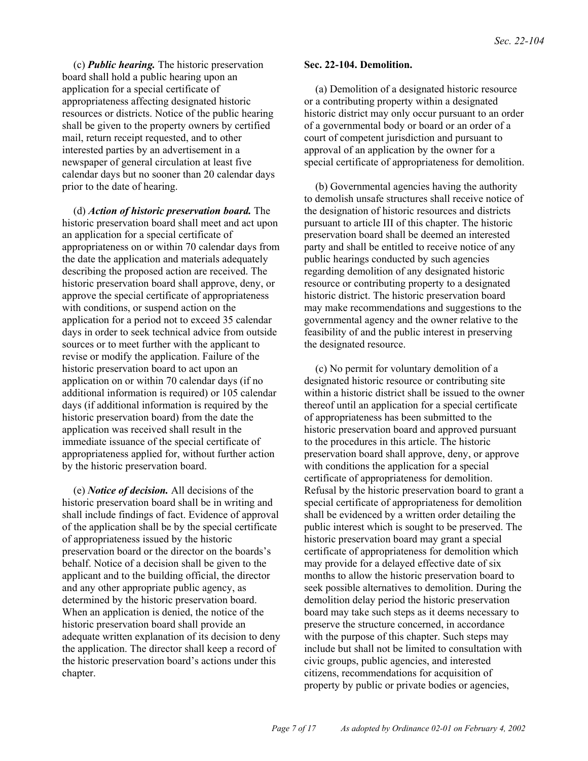(c) *Public hearing.* The historic preservation board shall hold a public hearing upon an application for a special certificate of appropriateness affecting designated historic resources or districts. Notice of the public hearing shall be given to the property owners by certified mail, return receipt requested, and to other interested parties by an advertisement in a newspaper of general circulation at least five calendar days but no sooner than 20 calendar days prior to the date of hearing.

(d) *Action of historic preservation board.* The historic preservation board shall meet and act upon an application for a special certificate of appropriateness on or within 70 calendar days from the date the application and materials adequately describing the proposed action are received. The historic preservation board shall approve, deny, or approve the special certificate of appropriateness with conditions, or suspend action on the application for a period not to exceed 35 calendar days in order to seek technical advice from outside sources or to meet further with the applicant to revise or modify the application. Failure of the historic preservation board to act upon an application on or within 70 calendar days (if no additional information is required) or 105 calendar days (if additional information is required by the historic preservation board) from the date the application was received shall result in the immediate issuance of the special certificate of appropriateness applied for, without further action by the historic preservation board.

(e) *Notice of decision.* All decisions of the historic preservation board shall be in writing and shall include findings of fact. Evidence of approval of the application shall be by the special certificate of appropriateness issued by the historic preservation board or the director on the boards's behalf. Notice of a decision shall be given to the applicant and to the building official, the director and any other appropriate public agency, as determined by the historic preservation board. When an application is denied, the notice of the historic preservation board shall provide an adequate written explanation of its decision to deny the application. The director shall keep a record of the historic preservation board's actions under this chapter.

#### **Sec. 22-104. Demolition.**

(a) Demolition of a designated historic resource or a contributing property within a designated historic district may only occur pursuant to an order of a governmental body or board or an order of a court of competent jurisdiction and pursuant to approval of an application by the owner for a special certificate of appropriateness for demolition.

(b) Governmental agencies having the authority to demolish unsafe structures shall receive notice of the designation of historic resources and districts pursuant to article III of this chapter. The historic preservation board shall be deemed an interested party and shall be entitled to receive notice of any public hearings conducted by such agencies regarding demolition of any designated historic resource or contributing property to a designated historic district. The historic preservation board may make recommendations and suggestions to the governmental agency and the owner relative to the feasibility of and the public interest in preserving the designated resource.

(c) No permit for voluntary demolition of a designated historic resource or contributing site within a historic district shall be issued to the owner thereof until an application for a special certificate of appropriateness has been submitted to the historic preservation board and approved pursuant to the procedures in this article. The historic preservation board shall approve, deny, or approve with conditions the application for a special certificate of appropriateness for demolition. Refusal by the historic preservation board to grant a special certificate of appropriateness for demolition shall be evidenced by a written order detailing the public interest which is sought to be preserved. The historic preservation board may grant a special certificate of appropriateness for demolition which may provide for a delayed effective date of six months to allow the historic preservation board to seek possible alternatives to demolition. During the demolition delay period the historic preservation board may take such steps as it deems necessary to preserve the structure concerned, in accordance with the purpose of this chapter. Such steps may include but shall not be limited to consultation with civic groups, public agencies, and interested citizens, recommendations for acquisition of property by public or private bodies or agencies,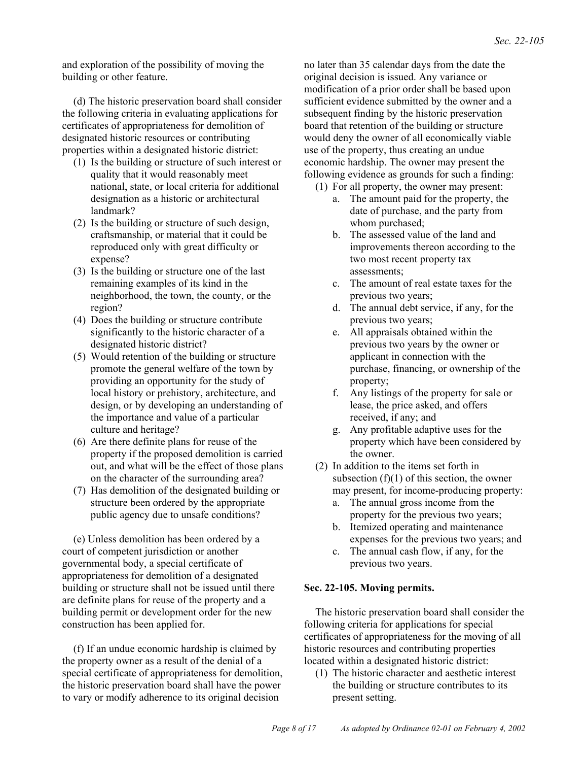and exploration of the possibility of moving the building or other feature.

(d) The historic preservation board shall consider the following criteria in evaluating applications for certificates of appropriateness for demolition of designated historic resources or contributing properties within a designated historic district:

- (1) Is the building or structure of such interest or quality that it would reasonably meet national, state, or local criteria for additional designation as a historic or architectural landmark?
- (2) Is the building or structure of such design, craftsmanship, or material that it could be reproduced only with great difficulty or expense?
- (3) Is the building or structure one of the last remaining examples of its kind in the neighborhood, the town, the county, or the region?
- (4) Does the building or structure contribute significantly to the historic character of a designated historic district?
- (5) Would retention of the building or structure promote the general welfare of the town by providing an opportunity for the study of local history or prehistory, architecture, and design, or by developing an understanding of the importance and value of a particular culture and heritage?
- (6) Are there definite plans for reuse of the property if the proposed demolition is carried out, and what will be the effect of those plans on the character of the surrounding area?
- (7) Has demolition of the designated building or structure been ordered by the appropriate public agency due to unsafe conditions?

(e) Unless demolition has been ordered by a court of competent jurisdiction or another governmental body, a special certificate of appropriateness for demolition of a designated building or structure shall not be issued until there are definite plans for reuse of the property and a building permit or development order for the new construction has been applied for.

(f) If an undue economic hardship is claimed by the property owner as a result of the denial of a special certificate of appropriateness for demolition, the historic preservation board shall have the power to vary or modify adherence to its original decision

no later than 35 calendar days from the date the original decision is issued. Any variance or modification of a prior order shall be based upon sufficient evidence submitted by the owner and a subsequent finding by the historic preservation board that retention of the building or structure would deny the owner of all economically viable use of the property, thus creating an undue economic hardship. The owner may present the following evidence as grounds for such a finding:

- (1) For all property, the owner may present:
	- a. The amount paid for the property, the date of purchase, and the party from whom purchased;
	- b. The assessed value of the land and improvements thereon according to the two most recent property tax assessments;
	- c. The amount of real estate taxes for the previous two years;
	- d. The annual debt service, if any, for the previous two years;
	- e. All appraisals obtained within the previous two years by the owner or applicant in connection with the purchase, financing, or ownership of the property;
	- f. Any listings of the property for sale or lease, the price asked, and offers received, if any; and
	- g. Any profitable adaptive uses for the property which have been considered by the owner.
- (2) In addition to the items set forth in subsection  $(f)(1)$  of this section, the owner may present, for income-producing property:
	- a. The annual gross income from the property for the previous two years;
	- b. Itemized operating and maintenance expenses for the previous two years; and
	- c. The annual cash flow, if any, for the previous two years.

#### **Sec. 22-105. Moving permits.**

The historic preservation board shall consider the following criteria for applications for special certificates of appropriateness for the moving of all historic resources and contributing properties located within a designated historic district:

(1) The historic character and aesthetic interest the building or structure contributes to its present setting.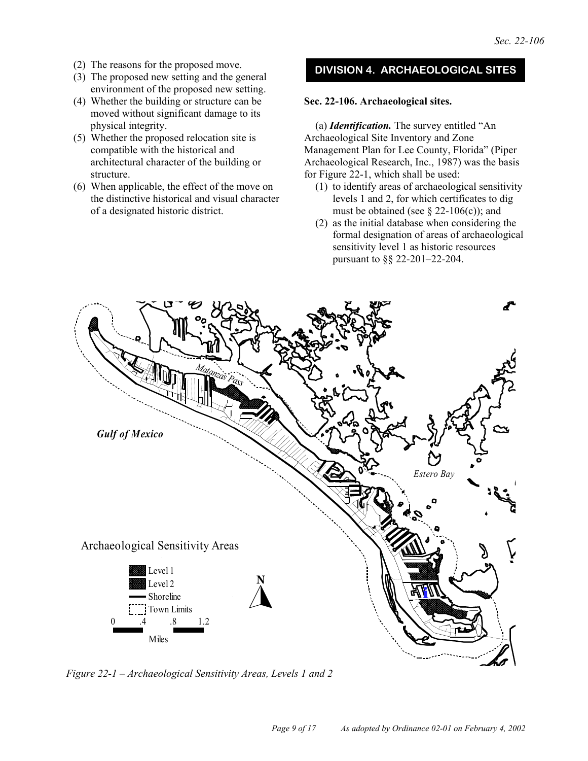- (2) The reasons for the proposed move.
- (3) The proposed new setting and the general environment of the proposed new setting.
- (4) Whether the building or structure can be moved without significant damage to its physical integrity.
- (5) Whether the proposed relocation site is compatible with the historical and architectural character of the building or structure.
- (6) When applicable, the effect of the move on the distinctive historical and visual character of a designated historic district.

## **DIVISION 4. ARCHAEOLOGICAL SITES**

#### **Sec. 22-106. Archaeological sites.**

(a) *Identification.* The survey entitled "An Archaeological Site Inventory and Zone Management Plan for Lee County, Florida" (Piper Archaeological Research, Inc., 1987) was the basis for Figure 22-1, which shall be used:

- (1) to identify areas of archaeological sensitivity levels 1 and 2, for which certificates to dig must be obtained (see  $\S$  22-106(c)); and
- (2) as the initial database when considering the formal designation of areas of archaeological sensitivity level 1 as historic resources pursuant to §§ 22-201–22-204.



*Figure 22-1 – Archaeological Sensitivity Areas, Levels 1 and 2*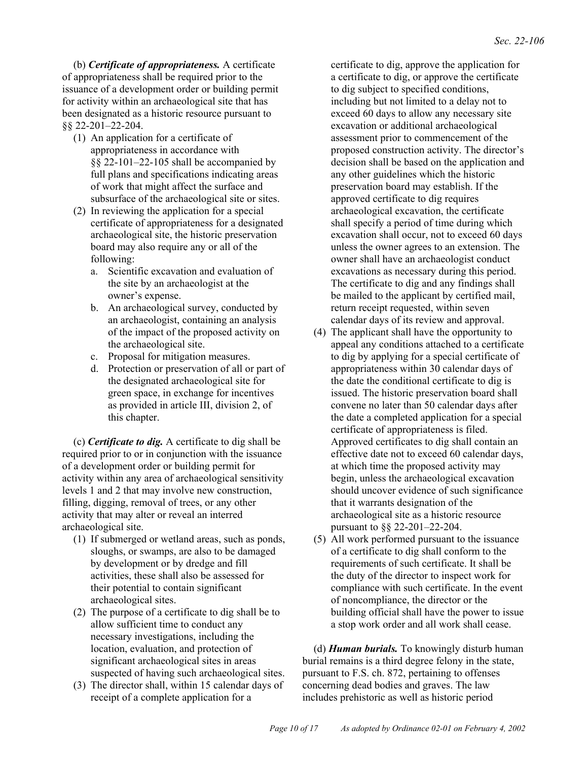(b) *Certificate of appropriateness.* A certificate of appropriateness shall be required prior to the issuance of a development order or building permit for activity within an archaeological site that has been designated as a historic resource pursuant to §§ 22-201–22-204.

- (1) An application for a certificate of appropriateness in accordance with §§ 22-101–22-105 shall be accompanied by full plans and specifications indicating areas of work that might affect the surface and subsurface of the archaeological site or sites.
- (2) In reviewing the application for a special certificate of appropriateness for a designated archaeological site, the historic preservation board may also require any or all of the following:
	- a. Scientific excavation and evaluation of the site by an archaeologist at the owner's expense.
	- b. An archaeological survey, conducted by an archaeologist, containing an analysis of the impact of the proposed activity on the archaeological site.
	- c. Proposal for mitigation measures.
	- d. Protection or preservation of all or part of the designated archaeological site for green space, in exchange for incentives as provided in article III, division 2, of this chapter.

(c) *Certificate to dig.* A certificate to dig shall be required prior to or in conjunction with the issuance of a development order or building permit for activity within any area of archaeological sensitivity levels 1 and 2 that may involve new construction, filling, digging, removal of trees, or any other activity that may alter or reveal an interred archaeological site.

- (1) If submerged or wetland areas, such as ponds, sloughs, or swamps, are also to be damaged by development or by dredge and fill activities, these shall also be assessed for their potential to contain significant archaeological sites.
- (2) The purpose of a certificate to dig shall be to allow sufficient time to conduct any necessary investigations, including the location, evaluation, and protection of significant archaeological sites in areas suspected of having such archaeological sites.
- (3) The director shall, within 15 calendar days of receipt of a complete application for a

certificate to dig, approve the application for a certificate to dig, or approve the certificate to dig subject to specified conditions, including but not limited to a delay not to exceed 60 days to allow any necessary site excavation or additional archaeological assessment prior to commencement of the proposed construction activity. The director's decision shall be based on the application and any other guidelines which the historic preservation board may establish. If the approved certificate to dig requires archaeological excavation, the certificate shall specify a period of time during which excavation shall occur, not to exceed 60 days unless the owner agrees to an extension. The owner shall have an archaeologist conduct excavations as necessary during this period. The certificate to dig and any findings shall be mailed to the applicant by certified mail, return receipt requested, within seven calendar days of its review and approval.

- (4) The applicant shall have the opportunity to appeal any conditions attached to a certificate to dig by applying for a special certificate of appropriateness within 30 calendar days of the date the conditional certificate to dig is issued. The historic preservation board shall convene no later than 50 calendar days after the date a completed application for a special certificate of appropriateness is filed. Approved certificates to dig shall contain an effective date not to exceed 60 calendar days, at which time the proposed activity may begin, unless the archaeological excavation should uncover evidence of such significance that it warrants designation of the archaeological site as a historic resource pursuant to §§ 22-201–22-204.
- (5) All work performed pursuant to the issuance of a certificate to dig shall conform to the requirements of such certificate. It shall be the duty of the director to inspect work for compliance with such certificate. In the event of noncompliance, the director or the building official shall have the power to issue a stop work order and all work shall cease.

(d) *Human burials.* To knowingly disturb human burial remains is a third degree felony in the state, pursuant to F.S. ch. 872, pertaining to offenses concerning dead bodies and graves. The law includes prehistoric as well as historic period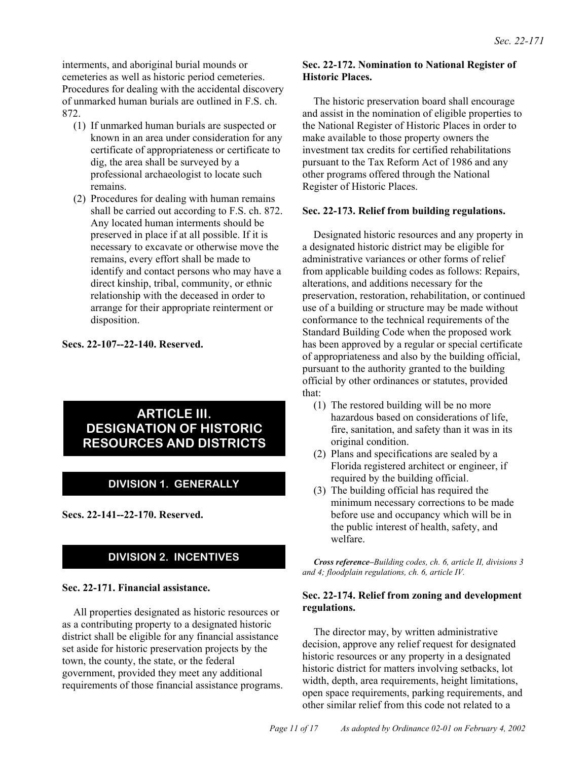interments, and aboriginal burial mounds or cemeteries as well as historic period cemeteries. Procedures for dealing with the accidental discovery of unmarked human burials are outlined in F.S. ch. 872.

- (1) If unmarked human burials are suspected or known in an area under consideration for any certificate of appropriateness or certificate to dig, the area shall be surveyed by a professional archaeologist to locate such remains.
- (2) Procedures for dealing with human remains shall be carried out according to F.S. ch. 872. Any located human interments should be preserved in place if at all possible. If it is necessary to excavate or otherwise move the remains, every effort shall be made to identify and contact persons who may have a direct kinship, tribal, community, or ethnic relationship with the deceased in order to arrange for their appropriate reinterment or disposition.

#### **Secs. 22-107--22-140. Reserved.**

## **ARTICLE III. DESIGNATION OF HISTORIC RESOURCES AND DISTRICTS**

## **DIVISION 1. GENERALLY**

**Secs. 22-141--22-170. Reserved.**

## **DIVISION 2. INCENTIVES**

#### **Sec. 22-171. Financial assistance.**

All properties designated as historic resources or as a contributing property to a designated historic district shall be eligible for any financial assistance set aside for historic preservation projects by the town, the county, the state, or the federal government, provided they meet any additional requirements of those financial assistance programs.

#### **Sec. 22-172. Nomination to National Register of Historic Places.**

The historic preservation board shall encourage and assist in the nomination of eligible properties to the National Register of Historic Places in order to make available to those property owners the investment tax credits for certified rehabilitations pursuant to the Tax Reform Act of 1986 and any other programs offered through the National Register of Historic Places.

#### **Sec. 22-173. Relief from building regulations.**

Designated historic resources and any property in a designated historic district may be eligible for administrative variances or other forms of relief from applicable building codes as follows: Repairs, alterations, and additions necessary for the preservation, restoration, rehabilitation, or continued use of a building or structure may be made without conformance to the technical requirements of the Standard Building Code when the proposed work has been approved by a regular or special certificate of appropriateness and also by the building official, pursuant to the authority granted to the building official by other ordinances or statutes, provided that:

- (1) The restored building will be no more hazardous based on considerations of life, fire, sanitation, and safety than it was in its original condition.
- (2) Plans and specifications are sealed by a Florida registered architect or engineer, if required by the building official.
- (3) The building official has required the minimum necessary corrections to be made before use and occupancy which will be in the public interest of health, safety, and welfare.

*Cross reference–Building codes, ch. 6, article II, divisions 3 and 4; floodplain regulations, ch. 6, article IV.*

#### **Sec. 22-174. Relief from zoning and development regulations.**

The director may, by written administrative decision, approve any relief request for designated historic resources or any property in a designated historic district for matters involving setbacks, lot width, depth, area requirements, height limitations, open space requirements, parking requirements, and other similar relief from this code not related to a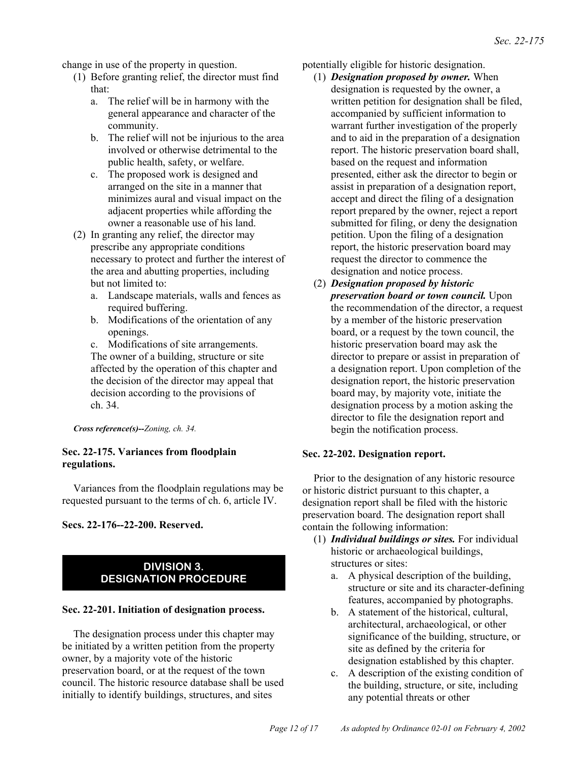change in use of the property in question.

- (1) Before granting relief, the director must find that:
	- a. The relief will be in harmony with the general appearance and character of the community.
	- b. The relief will not be injurious to the area involved or otherwise detrimental to the public health, safety, or welfare.
	- c. The proposed work is designed and arranged on the site in a manner that minimizes aural and visual impact on the adjacent properties while affording the owner a reasonable use of his land.
- (2) In granting any relief, the director may prescribe any appropriate conditions necessary to protect and further the interest of the area and abutting properties, including but not limited to:
	- a. Landscape materials, walls and fences as required buffering.
	- b. Modifications of the orientation of any openings.
	- c. Modifications of site arrangements. The owner of a building, structure or site affected by the operation of this chapter and the decision of the director may appeal that decision according to the provisions of ch. 34.

*Cross reference(s)--Zoning, ch. 34.*

#### **Sec. 22-175. Variances from floodplain regulations.**

Variances from the floodplain regulations may be requested pursuant to the terms of ch. 6, article IV.

**Secs. 22-176--22-200. Reserved.**

## **DIVISION 3. DESIGNATION PROCEDURE**

#### **Sec. 22-201. Initiation of designation process.**

The designation process under this chapter may be initiated by a written petition from the property owner, by a majority vote of the historic preservation board, or at the request of the town council. The historic resource database shall be used initially to identify buildings, structures, and sites

potentially eligible for historic designation.

- (1) *Designation proposed by owner.* When designation is requested by the owner, a written petition for designation shall be filed, accompanied by sufficient information to warrant further investigation of the properly and to aid in the preparation of a designation report. The historic preservation board shall, based on the request and information presented, either ask the director to begin or assist in preparation of a designation report, accept and direct the filing of a designation report prepared by the owner, reject a report submitted for filing, or deny the designation petition. Upon the filing of a designation report, the historic preservation board may request the director to commence the designation and notice process.
- (2) *Designation proposed by historic preservation board or town council.* Upon the recommendation of the director, a request by a member of the historic preservation board, or a request by the town council, the historic preservation board may ask the director to prepare or assist in preparation of a designation report. Upon completion of the designation report, the historic preservation board may, by majority vote, initiate the designation process by a motion asking the director to file the designation report and begin the notification process.

#### **Sec. 22-202. Designation report.**

Prior to the designation of any historic resource or historic district pursuant to this chapter, a designation report shall be filed with the historic preservation board. The designation report shall contain the following information:

- (1) *Individual buildings or sites.* For individual historic or archaeological buildings, structures or sites:
	- a. A physical description of the building, structure or site and its character-defining features, accompanied by photographs.
	- b. A statement of the historical, cultural, architectural, archaeological, or other significance of the building, structure, or site as defined by the criteria for designation established by this chapter.
	- c. A description of the existing condition of the building, structure, or site, including any potential threats or other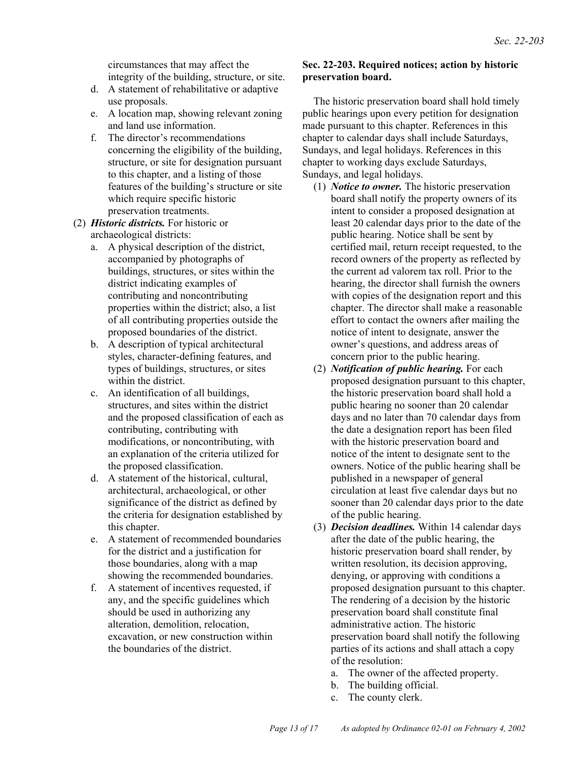circumstances that may affect the integrity of the building, structure, or site.

- d. A statement of rehabilitative or adaptive use proposals.
- e. A location map, showing relevant zoning and land use information.
- f. The director's recommendations concerning the eligibility of the building, structure, or site for designation pursuant to this chapter, and a listing of those features of the building's structure or site which require specific historic preservation treatments.
- (2) *Historic districts.* For historic or archaeological districts:
	- a. A physical description of the district, accompanied by photographs of buildings, structures, or sites within the district indicating examples of contributing and noncontributing properties within the district; also, a list of all contributing properties outside the proposed boundaries of the district.
	- b. A description of typical architectural styles, character-defining features, and types of buildings, structures, or sites within the district.
	- c. An identification of all buildings, structures, and sites within the district and the proposed classification of each as contributing, contributing with modifications, or noncontributing, with an explanation of the criteria utilized for the proposed classification.
	- d. A statement of the historical, cultural, architectural, archaeological, or other significance of the district as defined by the criteria for designation established by this chapter.
	- e. A statement of recommended boundaries for the district and a justification for those boundaries, along with a map showing the recommended boundaries.
	- f. A statement of incentives requested, if any, and the specific guidelines which should be used in authorizing any alteration, demolition, relocation, excavation, or new construction within the boundaries of the district.

#### **Sec. 22-203. Required notices; action by historic preservation board.**

The historic preservation board shall hold timely public hearings upon every petition for designation made pursuant to this chapter. References in this chapter to calendar days shall include Saturdays, Sundays, and legal holidays. References in this chapter to working days exclude Saturdays, Sundays, and legal holidays.

- (1) *Notice to owner.* The historic preservation board shall notify the property owners of its intent to consider a proposed designation at least 20 calendar days prior to the date of the public hearing. Notice shall be sent by certified mail, return receipt requested, to the record owners of the property as reflected by the current ad valorem tax roll. Prior to the hearing, the director shall furnish the owners with copies of the designation report and this chapter. The director shall make a reasonable effort to contact the owners after mailing the notice of intent to designate, answer the owner's questions, and address areas of concern prior to the public hearing.
- (2) *Notification of public hearing.* For each proposed designation pursuant to this chapter, the historic preservation board shall hold a public hearing no sooner than 20 calendar days and no later than 70 calendar days from the date a designation report has been filed with the historic preservation board and notice of the intent to designate sent to the owners. Notice of the public hearing shall be published in a newspaper of general circulation at least five calendar days but no sooner than 20 calendar days prior to the date of the public hearing.
- (3) *Decision deadlines.* Within 14 calendar days after the date of the public hearing, the historic preservation board shall render, by written resolution, its decision approving, denying, or approving with conditions a proposed designation pursuant to this chapter. The rendering of a decision by the historic preservation board shall constitute final administrative action. The historic preservation board shall notify the following parties of its actions and shall attach a copy of the resolution:
	- a. The owner of the affected property.
	- b. The building official.
	- c. The county clerk.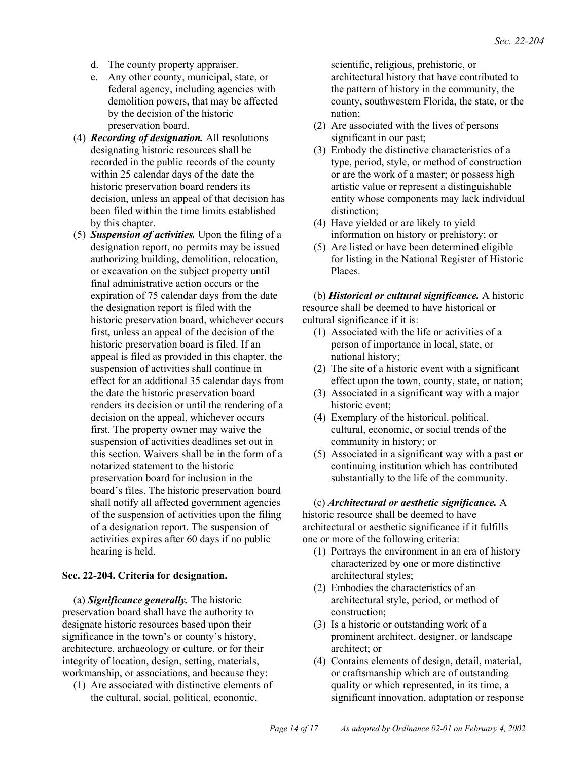- d. The county property appraiser.
- e. Any other county, municipal, state, or federal agency, including agencies with demolition powers, that may be affected by the decision of the historic preservation board.
- (4) *Recording of designation.* All resolutions designating historic resources shall be recorded in the public records of the county within 25 calendar days of the date the historic preservation board renders its decision, unless an appeal of that decision has been filed within the time limits established by this chapter.
- (5) *Suspension of activities.* Upon the filing of a designation report, no permits may be issued authorizing building, demolition, relocation, or excavation on the subject property until final administrative action occurs or the expiration of 75 calendar days from the date the designation report is filed with the historic preservation board, whichever occurs first, unless an appeal of the decision of the historic preservation board is filed. If an appeal is filed as provided in this chapter, the suspension of activities shall continue in effect for an additional 35 calendar days from the date the historic preservation board renders its decision or until the rendering of a decision on the appeal, whichever occurs first. The property owner may waive the suspension of activities deadlines set out in this section. Waivers shall be in the form of a notarized statement to the historic preservation board for inclusion in the board's files. The historic preservation board shall notify all affected government agencies of the suspension of activities upon the filing of a designation report. The suspension of activities expires after 60 days if no public hearing is held.

#### **Sec. 22-204. Criteria for designation.**

(a) *Significance generally.* The historic preservation board shall have the authority to designate historic resources based upon their significance in the town's or county's history, architecture, archaeology or culture, or for their integrity of location, design, setting, materials, workmanship, or associations, and because they:

(1) Are associated with distinctive elements of the cultural, social, political, economic,

scientific, religious, prehistoric, or architectural history that have contributed to the pattern of history in the community, the county, southwestern Florida, the state, or the nation;

- (2) Are associated with the lives of persons significant in our past;
- (3) Embody the distinctive characteristics of a type, period, style, or method of construction or are the work of a master; or possess high artistic value or represent a distinguishable entity whose components may lack individual distinction;
- (4) Have yielded or are likely to yield information on history or prehistory; or
- (5) Are listed or have been determined eligible for listing in the National Register of Historic Places.

(b) *Historical or cultural significance.* A historic resource shall be deemed to have historical or cultural significance if it is:

- (1) Associated with the life or activities of a person of importance in local, state, or national history;
- (2) The site of a historic event with a significant effect upon the town, county, state, or nation;
- (3) Associated in a significant way with a major historic event;
- (4) Exemplary of the historical, political, cultural, economic, or social trends of the community in history; or
- (5) Associated in a significant way with a past or continuing institution which has contributed substantially to the life of the community.

#### (c) *Architectural or aesthetic significance.* A

historic resource shall be deemed to have architectural or aesthetic significance if it fulfills one or more of the following criteria:

- (1) Portrays the environment in an era of history characterized by one or more distinctive architectural styles;
- (2) Embodies the characteristics of an architectural style, period, or method of construction;
- (3) Is a historic or outstanding work of a prominent architect, designer, or landscape architect; or
- (4) Contains elements of design, detail, material, or craftsmanship which are of outstanding quality or which represented, in its time, a significant innovation, adaptation or response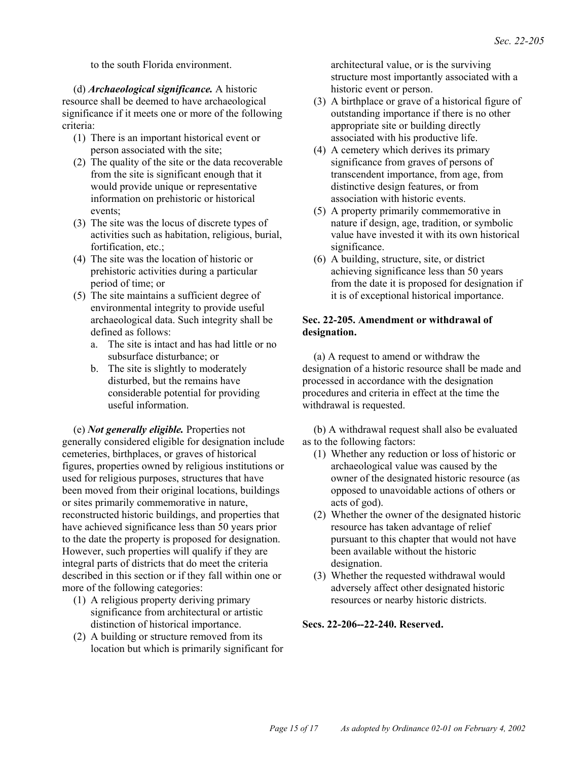to the south Florida environment.

(d) *Archaeological significance.* A historic resource shall be deemed to have archaeological significance if it meets one or more of the following criteria:

- (1) There is an important historical event or person associated with the site;
- (2) The quality of the site or the data recoverable from the site is significant enough that it would provide unique or representative information on prehistoric or historical events;
- (3) The site was the locus of discrete types of activities such as habitation, religious, burial, fortification, etc.;
- (4) The site was the location of historic or prehistoric activities during a particular period of time; or
- (5) The site maintains a sufficient degree of environmental integrity to provide useful archaeological data. Such integrity shall be defined as follows:
	- a. The site is intact and has had little or no subsurface disturbance; or
	- b. The site is slightly to moderately disturbed, but the remains have considerable potential for providing useful information.

(e) *Not generally eligible.* Properties not generally considered eligible for designation include cemeteries, birthplaces, or graves of historical figures, properties owned by religious institutions or used for religious purposes, structures that have been moved from their original locations, buildings or sites primarily commemorative in nature, reconstructed historic buildings, and properties that have achieved significance less than 50 years prior to the date the property is proposed for designation. However, such properties will qualify if they are integral parts of districts that do meet the criteria described in this section or if they fall within one or more of the following categories:

- (1) A religious property deriving primary significance from architectural or artistic distinction of historical importance.
- (2) A building or structure removed from its location but which is primarily significant for

architectural value, or is the surviving structure most importantly associated with a historic event or person.

- (3) A birthplace or grave of a historical figure of outstanding importance if there is no other appropriate site or building directly associated with his productive life.
- (4) A cemetery which derives its primary significance from graves of persons of transcendent importance, from age, from distinctive design features, or from association with historic events.
- (5) A property primarily commemorative in nature if design, age, tradition, or symbolic value have invested it with its own historical significance.
- (6) A building, structure, site, or district achieving significance less than 50 years from the date it is proposed for designation if it is of exceptional historical importance.

#### **Sec. 22-205. Amendment or withdrawal of designation.**

(a) A request to amend or withdraw the designation of a historic resource shall be made and processed in accordance with the designation procedures and criteria in effect at the time the withdrawal is requested.

(b) A withdrawal request shall also be evaluated as to the following factors:

- (1) Whether any reduction or loss of historic or archaeological value was caused by the owner of the designated historic resource (as opposed to unavoidable actions of others or acts of god).
- (2) Whether the owner of the designated historic resource has taken advantage of relief pursuant to this chapter that would not have been available without the historic designation.
- (3) Whether the requested withdrawal would adversely affect other designated historic resources or nearby historic districts.

#### **Secs. 22-206--22-240. Reserved.**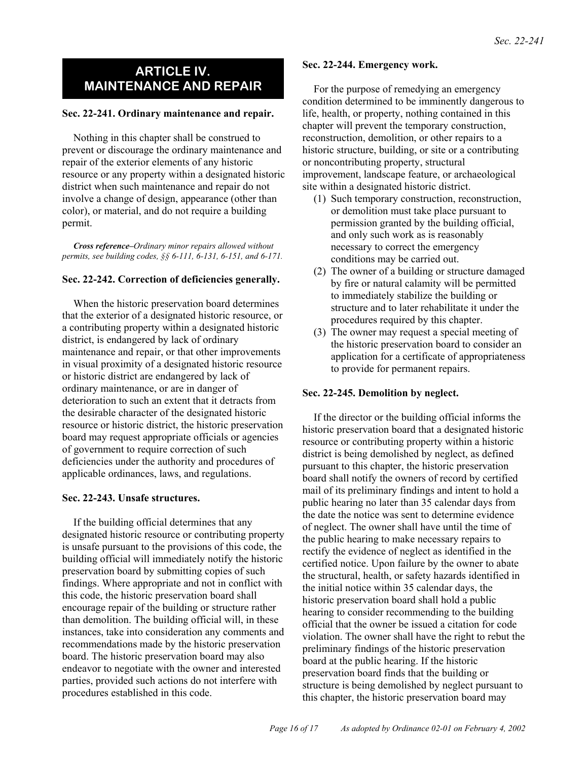## **ARTICLE IV. MAINTENANCE AND REPAIR**

#### **Sec. 22-241. Ordinary maintenance and repair.**

Nothing in this chapter shall be construed to prevent or discourage the ordinary maintenance and repair of the exterior elements of any historic resource or any property within a designated historic district when such maintenance and repair do not involve a change of design, appearance (other than color), or material, and do not require a building permit.

*Cross reference–Ordinary minor repairs allowed without permits, see building codes, §§ 6-111, 6-131, 6-151, and 6-171.*

#### **Sec. 22-242. Correction of deficiencies generally.**

When the historic preservation board determines that the exterior of a designated historic resource, or a contributing property within a designated historic district, is endangered by lack of ordinary maintenance and repair, or that other improvements in visual proximity of a designated historic resource or historic district are endangered by lack of ordinary maintenance, or are in danger of deterioration to such an extent that it detracts from the desirable character of the designated historic resource or historic district, the historic preservation board may request appropriate officials or agencies of government to require correction of such deficiencies under the authority and procedures of applicable ordinances, laws, and regulations.

#### **Sec. 22-243. Unsafe structures.**

If the building official determines that any designated historic resource or contributing property is unsafe pursuant to the provisions of this code, the building official will immediately notify the historic preservation board by submitting copies of such findings. Where appropriate and not in conflict with this code, the historic preservation board shall encourage repair of the building or structure rather than demolition. The building official will, in these instances, take into consideration any comments and recommendations made by the historic preservation board. The historic preservation board may also endeavor to negotiate with the owner and interested parties, provided such actions do not interfere with procedures established in this code.

#### **Sec. 22-244. Emergency work.**

For the purpose of remedying an emergency condition determined to be imminently dangerous to life, health, or property, nothing contained in this chapter will prevent the temporary construction, reconstruction, demolition, or other repairs to a historic structure, building, or site or a contributing or noncontributing property, structural improvement, landscape feature, or archaeological site within a designated historic district.

- (1) Such temporary construction, reconstruction, or demolition must take place pursuant to permission granted by the building official, and only such work as is reasonably necessary to correct the emergency conditions may be carried out.
- (2) The owner of a building or structure damaged by fire or natural calamity will be permitted to immediately stabilize the building or structure and to later rehabilitate it under the procedures required by this chapter.
- (3) The owner may request a special meeting of the historic preservation board to consider an application for a certificate of appropriateness to provide for permanent repairs.

#### **Sec. 22-245. Demolition by neglect.**

If the director or the building official informs the historic preservation board that a designated historic resource or contributing property within a historic district is being demolished by neglect, as defined pursuant to this chapter, the historic preservation board shall notify the owners of record by certified mail of its preliminary findings and intent to hold a public hearing no later than 35 calendar days from the date the notice was sent to determine evidence of neglect. The owner shall have until the time of the public hearing to make necessary repairs to rectify the evidence of neglect as identified in the certified notice. Upon failure by the owner to abate the structural, health, or safety hazards identified in the initial notice within 35 calendar days, the historic preservation board shall hold a public hearing to consider recommending to the building official that the owner be issued a citation for code violation. The owner shall have the right to rebut the preliminary findings of the historic preservation board at the public hearing. If the historic preservation board finds that the building or structure is being demolished by neglect pursuant to this chapter, the historic preservation board may